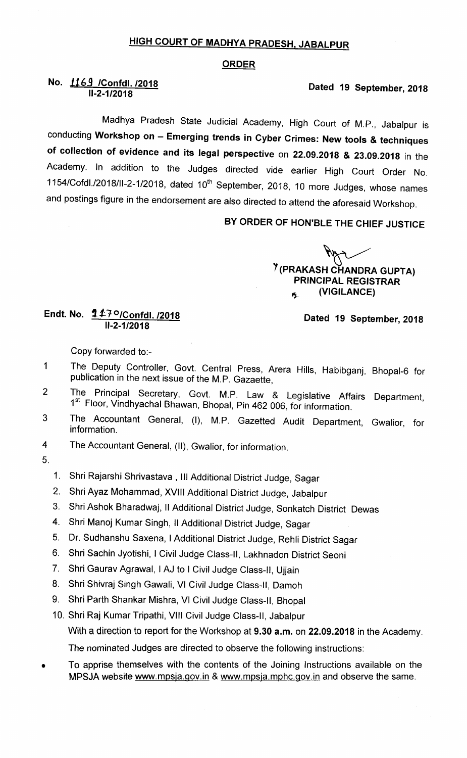## HIGH COURT OF MADHYA PRADESH, JABALPUR

## **ORDER**

## No. 1169 /Confdl. /2018 11-2-1/2018

Madhya Pradesh State Judicial Academy, High Court of M.P., Jabalpur is conducting Workshop on - Emerging trends in Cyber Crimes: New tools & techniques of collection of evidence and its legal perspective on 22.09.2018 & 23.09.2018 in the Academy. In addition to the Judges directed vide earlier High Court Order No. 1154/Cofdl./2018/II-2-1/2018, dated 10<sup>th</sup> September, 2018, 10 more Judges, whose names and postings figure in the endorsement are also directed to attend the aforesaid Workshop.

BY ORDER OF HON'BLE THE CHIEF JUSTICE

K <sup>7</sup> (PRAKASH CHANDRA GUPTA) PRINCIPAL REGISTRAR  $P_{\text{A}}$  (VIGILANCE)

Endt. No. 117°/Confdl. /2018  $II - 2 - 1/2018$ 

Dated 19 September, 2018

Dated 19 September, 2018

Copy forvarded to:-

- The Deputy Controller, Govt. Central Press, Arera Hills, Habibganj, Bhopal-6 for  $\mathbf{1}$ publication in the next issue of the M.P. Gazaette,
- The Principal Secretary, Govt. M.P. Law & Legislative Affairs Department,  $\overline{2}$ 1<sup>st</sup> Floor, Vindhyachal Bhawan, Bhopal, Pin 462 006, for information.
- The Accountant General, (I), M.P. Gazetted Audit Department, Gwalior, for 3 information.
- The Accountant General, (11), Gwalior, for information. 4

5.

- 1. Shri Rajarshi Shrivastava, III Additional District Judge, Sagar
- 2. Shri Ayaz Mohammad, Xvlll Additional District Judge, Jabalpur
- 3. Shri Ashok Bharadwaj, II Additional District Judge, Sonkatch District Dewas
- 4. Shri Manoj Kumar Singh, II Additional District Judge, Sagar
- 5. Dr. Sudhanshu Saxena, I Additional District Judge, Rehli District Sagar
- 6. Shri Sachin Jyotishi, I Civil Judge Class-ll, Lakhnadon District Seoni
- 7. Shri Gaurav Agrawal, I AJ to I Civil Judge Class-II, Ujjain
- 8. Shri Shivraj Singh Gawali, VI Civil Judge Class-lI, Damoh
- 9. Shri Parth Shankar Mishra, VI Civil Judge Class-ll, Bhopal
- 10. Shri Raj Kumar Tripathi, Vlll Civil Judge Class-ll, Jabalpur With a direction to report for the Workshop at 9.30 a.m. on 22.09.2018 in the Academy.

The nominated Judges are directed to observe the following instructions:

To apprise themselves with the contents of the Joining Instructions available on the MPSJA website www.mpsja.gov.in & www.mpsja.mphc.gov.in and observe the same.